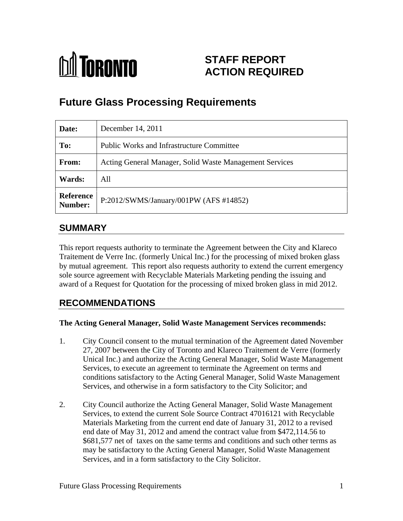

# **STAFF REPORT ACTION REQUIRED**

# **Future Glass Processing Requirements**

| Date:                | December 14, 2011                                       |
|----------------------|---------------------------------------------------------|
| To:                  | <b>Public Works and Infrastructure Committee</b>        |
| From:                | Acting General Manager, Solid Waste Management Services |
| Wards:               | All                                                     |
| Reference<br>Number: | $\vert$ P:2012/SWMS/January/001PW (AFS #14852)          |

## **SUMMARY**

This report requests authority to terminate the Agreement between the City and Klareco Traitement de Verre Inc. (formerly Unical Inc.) for the processing of mixed broken glass by mutual agreement. This report also requests authority to extend the current emergency sole source agreement with Recyclable Materials Marketing pending the issuing and award of a Request for Quotation for the processing of mixed broken glass in mid 2012.

## **RECOMMENDATIONS**

### **The Acting General Manager, Solid Waste Management Services recommends:**

- 1. City Council consent to the mutual termination of the Agreement dated November 27, 2007 between the City of Toronto and Klareco Traitement de Verre (formerly Unical Inc.) and authorize the Acting General Manager, Solid Waste Management Services, to execute an agreement to terminate the Agreement on terms and conditions satisfactory to the Acting General Manager, Solid Waste Management Services, and otherwise in a form satisfactory to the City Solicitor; and
- 2. City Council authorize the Acting General Manager, Solid Waste Management Services, to extend the current Sole Source Contract 47016121 with Recyclable Materials Marketing from the current end date of January 31, 2012 to a revised end date of May 31, 2012 and amend the contract value from \$472,114.56 to \$681,577 net of taxes on the same terms and conditions and such other terms as may be satisfactory to the Acting General Manager, Solid Waste Management Services, and in a form satisfactory to the City Solicitor.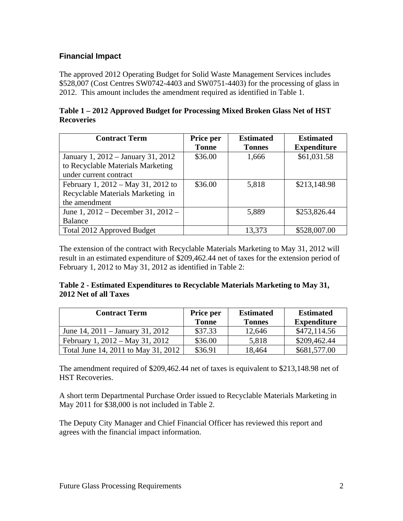### **Financial Impact**

 The approved 2012 Operating Budget for Solid Waste Management Services includes \$528,007 (Cost Centres SW0742-4403 and SW0751-4403) for the processing of glass in 2012. This amount includes the amendment required as identified in Table 1.

| Table<br>2 Approved Budget for Processing Mixed Broken Glass Net of HST<br>2012 |  |
|---------------------------------------------------------------------------------|--|
| <b>Recoveries</b>                                                               |  |

| <b>Contract Term</b>               | Price per    | <b>Estimated</b> | <b>Estimated</b> |
|------------------------------------|--------------|------------------|------------------|
|                                    | <b>Tonne</b> | Tonnes           | Expenditure      |
| January 1, 2012 – January 31, 2012 | \$36.00      | 1,666            | \$61,031.58      |
| to Recyclable Materials Marketing  |              |                  |                  |
| under current contract             |              |                  |                  |
| February 1, 2012 – May 31, 2012 to | \$36.00      | 5,818            | \$213,148.98     |
| Recyclable Materials Marketing in  |              |                  |                  |
| the amendment                      |              |                  |                  |
| June 1, 2012 – December 31, 2012 – |              | 5,889            | \$253,826.44     |
| Balance                            |              |                  |                  |
| Total 2012 Approved Budget         |              | 13,373           | \$528,007.00     |

The extension of the contract with Recyclable Materials Marketing to May 31, 2012 will result in an estimated expenditure of \$209,462.44 net of taxes for the extension period of February 1, 2012 to May 31, 2012 as identified in Table 2:

### **Table 2 - Estimated Expenditures to Recyclable Materials Marketing to May 31, 2012 Net of all Taxes**

| <b>Contract Term</b>                 | Price per                                           | <b>Estimated</b>   | <b>Estimated</b>   |
|--------------------------------------|-----------------------------------------------------|--------------------|--------------------|
|                                      | <b>Contract Contract Contract Contract</b><br>Tonne | Tonne <sup>r</sup> | <b>Expenditure</b> |
| June 14, $2011 -$ January 31, $2012$ | \$37.33                                             | 12,646             | \$472,114.56       |
| February 1, 2012 – May 31, 2012      | \$36.00                                             | 5,818              | \$209,462.44       |
| Total June 14, 2011 to May 31, 2012  | \$36.91                                             | 18.464             | \$681,577.00       |

The amendment required of \$209,462.44 net of taxes is equivalent to \$213,148.98 net of HST Recoveries.

A short term Departmental Purchase Order issued to Recyclable Materials Marketing in May 2011 for \$38,000 is not included in Table 2.

The Deputy City Manager and Chief Financial Officer has reviewed this report and agrees with the financial impact information.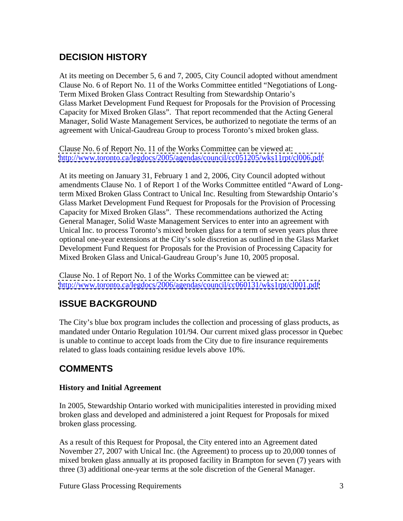## **DECISION HISTORY**

At its meeting on December 5, 6 and 7, 2005, City Council adopted without amendment Clause No. 6 of Report No. 11 of the Works Committee entitled "Negotiations of Long- Term Mixed Broken Glass Contract Resulting from Stewardship Ontario's Glass Market Development Fund Request for Proposals for the Provision of Processing Capacity for Mixed Broken Glass". That report recommended that the Acting General Manager, Solid Waste Management Services, be authorized to negotiate the terms of an agreement with Unical-Gaudreau Group to process Toronto's mixed broken glass.

Clause No. 6 of Report No. 11 of the Works Committee can be viewed at: <http://www.toronto.ca/legdocs/2005/agendas/council/cc051205/wks11rpt/cl006.pdf>

At its meeting on January 31, February 1 and 2, 2006, City Council adopted without amendments Clause No. 1 of Report 1 of the Works Committee entitled "Award of Longterm Mixed Broken Glass Contract to Unical Inc. Resulting from Stewardship Ontario's Glass Market Development Fund Request for Proposals for the Provision of Processing Capacity for Mixed Broken Glass". These recommendations authorized the Acting General Manager, Solid Waste Management Services to enter into an agreement with Unical Inc. to process Toronto's mixed broken glass for a term of seven years plus three optional one-year extensions at the City's sole discretion as outlined in the Glass Market Development Fund Request for Proposals for the Provision of Processing Capacity for Mixed Broken Glass and Unical-Gaudreau Group's June 10, 2005 proposal. Clause No. 1 of Report No. 1 of the Works Committee can be viewed at:

<http://www.toronto.ca/legdocs/2006/agendas/council/cc060131/wks1rpt/cl001.pdf>

## **ISSUE BACKGROUND**

The City's blue box program includes the collection and processing of glass products, as mandated under Ontario Regulation 101/94. Our current mixed glass processor in Quebec is unable to continue to accept loads from the City due to fire insurance requirements related to glass loads containing residue levels above 10%.

## **COMMENTS**

### **History and Initial Agreement**

In 2005, Stewardship Ontario worked with municipalities interested in providing mixed broken glass and developed and administered a joint Request for Proposals for mixed broken glass processing.

As a result of this Request for Proposal, the City entered into an Agreement dated November 27, 2007 with Unical Inc. (the Agreement) to process up to 20,000 tonnes of mixed broken glass annually at its proposed facility in Brampton for seven (7) years with three (3) additional one-year terms at the sole discretion of the General Manager.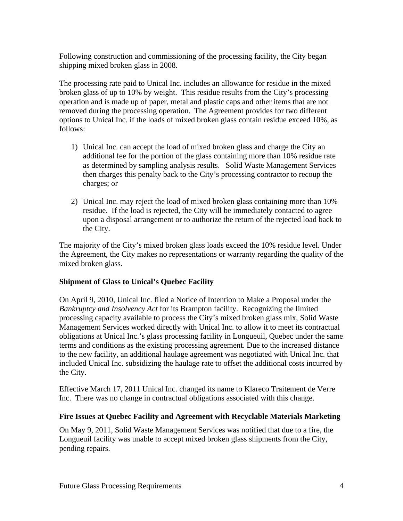Following construction and commissioning of the processing facility, the City began shipping mixed broken glass in 2008.

The processing rate paid to Unical Inc. includes an allowance for residue in the mixed broken glass of up to 10% by weight. This residue results from the City's processing operation and is made up of paper, metal and plastic caps and other items that are not removed during the processing operation. The Agreement provides for two different options to Unical Inc. if the loads of mixed broken glass contain residue exceed 10%, as follows:

- 1) Unical Inc. can accept the load of mixed broken glass and charge the City an additional fee for the portion of the glass containing more than 10% residue rate as determined by sampling analysis results. Solid Waste Management Services then charges this penalty back to the City's processing contractor to recoup the charges; or
- 2) Unical Inc. may reject the load of mixed broken glass containing more than 10% residue. If the load is rejected, the City will be immediately contacted to agree upon a disposal arrangement or to authorize the return of the rejected load back to the City.

The majority of the City's mixed broken glass loads exceed the 10% residue level. Under the Agreement, the City makes no representations or warranty regarding the quality of the mixed broken glass.

### **Shipment of Glass to Unical's Quebec Facility**

On April 9, 2010, Unical Inc. filed a Notice of Intention to Make a Proposal under the *Bankruptcy and Insolvency Act* for its Brampton facility. Recognizing the limited processing capacity available to process the City's mixed broken glass mix, Solid Waste Management Services worked directly with Unical Inc. to allow it to meet its contractual obligations at Unical Inc.'s glass processing facility in Longueuil, Quebec under the same terms and conditions as the existing processing agreement. Due to the increased distance to the new facility, an additional haulage agreement was negotiated with Unical Inc. that included Unical Inc. subsidizing the haulage rate to offset the additional costs incurred by the City.

Effective March 17, 2011 Unical Inc. changed its name to Klareco Traitement de Verre Inc. There was no change in contractual obligations associated with this change.

### **Fire Issues at Quebec Facility and Agreement with Recyclable Materials Marketing**

On May 9, 2011, Solid Waste Management Services was notified that due to a fire, the Longueuil facility was unable to accept mixed broken glass shipments from the City, pending repairs.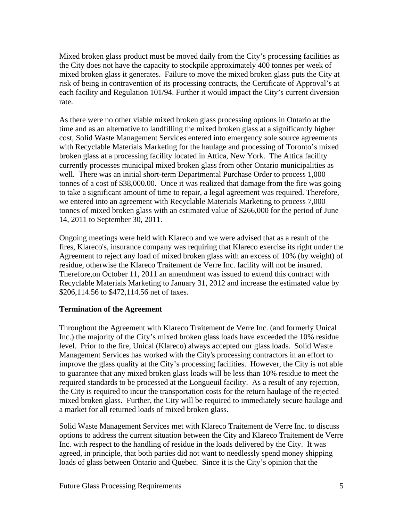Mixed broken glass product must be moved daily from the City's processing facilities as the City does not have the capacity to stockpile approximately 400 tonnes per week of mixed broken glass it generates. Failure to move the mixed broken glass puts the City at risk of being in contravention of its processing contracts, the Certificate of Approval's at each facility and Regulation 101/94. Further it would impact the City's current diversion rate.

As there were no other viable mixed broken glass processing options in Ontario at the time and as an alternative to landfilling the mixed broken glass at a significantly higher cost, Solid Waste Management Services entered into emergency sole source agreements with Recyclable Materials Marketing for the haulage and processing of Toronto's mixed broken glass at a processing facility located in Attica, New York. The Attica facility currently processes municipal mixed broken glass from other Ontario municipalities as well. There was an initial short-term Departmental Purchase Order to process 1,000 tonnes of a cost of \$38,000.00. Once it was realized that damage from the fire was going to take a significant amount of time to repair, a legal agreement was required. Therefore, we entered into an agreement with Recyclable Materials Marketing to process 7,000 tonnes of mixed broken glass with an estimated value of \$266,000 for the period of June 14, 2011 to September 30, 2011.

Ongoing meetings were held with Klareco and we were advised that as a result of the fires, Klareco's, insurance company was requiring that Klareco exercise its right under the Agreement to reject any load of mixed broken glass with an excess of 10% (by weight) of residue, otherwise the Klareco Traitement de Verre Inc. facility will not be insured. Therefore,on October 11, 2011 an amendment was issued to extend this contract with Recyclable Materials Marketing to January 31, 2012 and increase the estimated value by \$206,114.56 to \$472,114.56 net of taxes.

### **Termination of the Agreement**

Throughout the Agreement with Klareco Traitement de Verre Inc. (and formerly Unical Inc.) the majority of the City's mixed broken glass loads have exceeded the 10% residue level. Prior to the fire, Unical (Klareco) always accepted our glass loads. Solid Waste Management Services has worked with the City's processing contractors in an effort to improve the glass quality at the City's processing facilities. However, the City is not able to guarantee that any mixed broken glass loads will be less than 10% residue to meet the required standards to be processed at the Longueuil facility. As a result of any rejection, the City is required to incur the transportation costs for the return haulage of the rejected mixed broken glass. Further, the City will be required to immediately secure haulage and a market for all returned loads of mixed broken glass.

Solid Waste Management Services met with Klareco Traitement de Verre Inc. to discuss options to address the current situation between the City and Klareco Traitement de Verre Inc. with respect to the handling of residue in the loads delivered by the City. It was agreed, in principle, that both parties did not want to needlessly spend money shipping loads of glass between Ontario and Quebec. Since it is the City's opinion that the